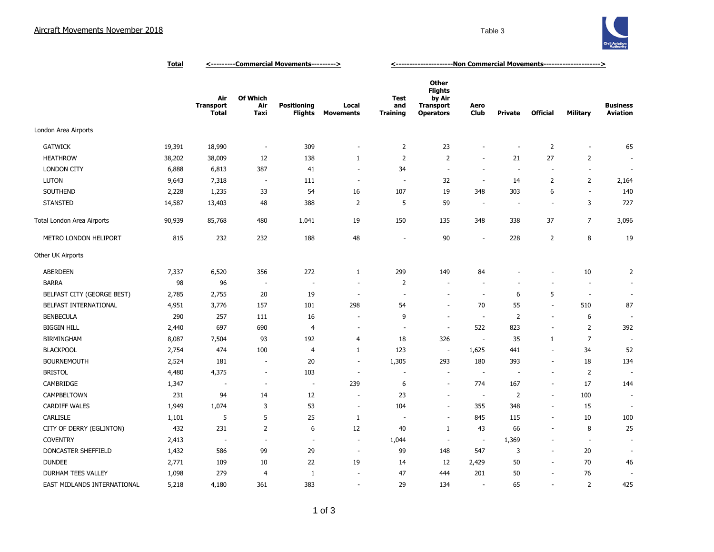

|                             | <u>Total</u> | <----------Commercial Movements---------> |                          |                               |                           | <-----------------------Non Commercial Movements---------------------> |                                                                                  |                          |                          |                          |                          |                                    |
|-----------------------------|--------------|-------------------------------------------|--------------------------|-------------------------------|---------------------------|------------------------------------------------------------------------|----------------------------------------------------------------------------------|--------------------------|--------------------------|--------------------------|--------------------------|------------------------------------|
|                             |              | Air<br><b>Transport</b><br>Total          | Of Which<br>Air<br>Taxi  | <b>Positioning</b><br>Flights | Local<br><b>Movements</b> | Test<br>and<br><b>Training</b>                                         | <b>Other</b><br><b>Flights</b><br>by Air<br><b>Transport</b><br><b>Operators</b> | Aero<br><b>Club</b>      | <b>Private</b>           | <b>Official</b>          | <b>Military</b>          | <b>Business</b><br><b>Aviation</b> |
| London Area Airports        |              |                                           |                          |                               |                           |                                                                        |                                                                                  |                          |                          |                          |                          |                                    |
| <b>GATWICK</b>              | 19,391       | 18,990                                    | $\overline{\phantom{a}}$ | 309                           | ÷,                        | $\overline{2}$                                                         | 23                                                                               | ٠                        | ٠                        | $\overline{2}$           | $\overline{\phantom{a}}$ | 65                                 |
| <b>HEATHROW</b>             | 38,202       | 38,009                                    | 12                       | 138                           | 1                         | $\overline{2}$                                                         | 2                                                                                | $\sim$                   | 21                       | 27                       | $\overline{2}$           |                                    |
| <b>LONDON CITY</b>          | 6,888        | 6,813                                     | 387                      | 41                            | $\overline{\phantom{a}}$  | 34                                                                     | $\sim$                                                                           | $\sim$                   | $\sim$                   | $\overline{a}$           | $\blacksquare$           |                                    |
| <b>LUTON</b>                | 9,643        | 7,318                                     | $\overline{\phantom{a}}$ | 111                           | $\sim$                    | $\sim$                                                                 | 32                                                                               | $\overline{\phantom{a}}$ | 14                       | $\overline{2}$           | $\overline{2}$           | 2,164                              |
| SOUTHEND                    | 2,228        | 1,235                                     | 33                       | 54                            | 16                        | 107                                                                    | 19                                                                               | 348                      | 303                      | 6                        | ÷.                       | 140                                |
| <b>STANSTED</b>             | 14,587       | 13,403                                    | 48                       | 388                           | $\overline{2}$            | 5                                                                      | 59                                                                               | $\overline{\phantom{a}}$ | $\overline{\phantom{a}}$ | $\overline{\phantom{a}}$ | 3                        | 727                                |
| Total London Area Airports  | 90,939       | 85,768                                    | 480                      | 1,041                         | 19                        | 150                                                                    | 135                                                                              | 348                      | 338                      | 37                       | 7                        | 3,096                              |
| METRO LONDON HELIPORT       | 815          | 232                                       | 232                      | 188                           | 48                        | ٠                                                                      | 90                                                                               | $\overline{\phantom{a}}$ | 228                      | $\overline{2}$           | 8                        | 19                                 |
| Other UK Airports           |              |                                           |                          |                               |                           |                                                                        |                                                                                  |                          |                          |                          |                          |                                    |
| <b>ABERDEEN</b>             | 7,337        | 6,520                                     | 356                      | 272                           | $\mathbf{1}$              | 299                                                                    | 149                                                                              | 84                       |                          | ٠                        | 10                       | $\overline{2}$                     |
| <b>BARRA</b>                | 98           | 96                                        | $\overline{\phantom{a}}$ | $\overline{\phantom{a}}$      |                           | 2                                                                      |                                                                                  | $\overline{\phantom{a}}$ |                          | ÷,                       | ÷,                       |                                    |
| BELFAST CITY (GEORGE BEST)  | 2,785        | 2,755                                     | 20                       | 19                            | $\overline{a}$            | ÷.                                                                     |                                                                                  | $\sim$                   | 6                        | 5                        | $\overline{\phantom{a}}$ | $\sim$                             |
| BELFAST INTERNATIONAL       | 4,951        | 3,776                                     | 157                      | 101                           | 298                       | 54                                                                     |                                                                                  | 70                       | 55                       | $\overline{\phantom{a}}$ | 510                      | 87                                 |
| <b>BENBECULA</b>            | 290          | 257                                       | 111                      | 16                            |                           | 9                                                                      |                                                                                  | $\sim$                   | $\overline{2}$           | $\overline{\phantom{a}}$ | 6                        | $\overline{\phantom{a}}$           |
| <b>BIGGIN HILL</b>          | 2,440        | 697                                       | 690                      | 4                             | $\overline{a}$            | $\sim$                                                                 | $\overline{\phantom{a}}$                                                         | 522                      | 823                      | $\overline{\phantom{a}}$ | $\overline{2}$           | 392                                |
| <b>BIRMINGHAM</b>           | 8,087        | 7,504                                     | 93                       | 192                           | $\overline{4}$            | 18                                                                     | 326                                                                              | $\overline{\phantom{a}}$ | 35                       | 1                        | 7                        |                                    |
| <b>BLACKPOOL</b>            | 2,754        | 474                                       | 100                      | $\overline{4}$                | $\mathbf{1}$              | 123                                                                    | $\overline{\phantom{a}}$                                                         | 1,625                    | 441                      | $\overline{\phantom{a}}$ | 34                       | 52                                 |
| <b>BOURNEMOUTH</b>          | 2,524        | 181                                       | $\overline{\phantom{a}}$ | 20                            | ÷.                        | 1,305                                                                  | 293                                                                              | 180                      | 393                      | ä,                       | 18                       | 134                                |
| <b>BRISTOL</b>              | 4,480        | 4,375                                     | $\overline{\phantom{a}}$ | 103                           | ÷,                        |                                                                        |                                                                                  | ٠.                       |                          | ÷,                       | $\overline{2}$           |                                    |
| CAMBRIDGE                   | 1,347        | ÷,                                        | $\overline{\phantom{a}}$ | $\sim$                        | 239                       | 6                                                                      |                                                                                  | 774                      | 167                      | $\overline{\phantom{a}}$ | 17                       | 144                                |
| CAMPBELTOWN                 | 231          | 94                                        | 14                       | 12                            | ٠                         | 23                                                                     |                                                                                  | $\sim$                   | $\overline{2}$           | ÷.                       | 100                      | ÷.                                 |
| <b>CARDIFF WALES</b>        | 1,949        | 1,074                                     | 3                        | 53                            | $\sim$                    | 104                                                                    | $\sim$                                                                           | 355                      | 348                      | $\sim$                   | 15                       |                                    |
| CARLISLE                    | 1,101        | 5                                         | 5                        | 25                            | $\mathbf{1}$              |                                                                        | $\overline{\phantom{a}}$                                                         | 845                      | 115                      | $\sim$                   | 10                       | 100                                |
| CITY OF DERRY (EGLINTON)    | 432          | 231                                       | $\overline{2}$           | 6                             | 12                        | 40                                                                     | $\mathbf{1}$                                                                     | 43                       | 66                       | $\overline{\phantom{a}}$ | 8                        | 25                                 |
| <b>COVENTRY</b>             | 2,413        | $\overline{\phantom{a}}$                  |                          | $\overline{\phantom{a}}$      | $\overline{a}$            | 1,044                                                                  | $\overline{\phantom{a}}$                                                         | $\overline{\phantom{a}}$ | 1,369                    | $\overline{\phantom{a}}$ | $\overline{\phantom{a}}$ |                                    |
| DONCASTER SHEFFIELD         | 1,432        | 586                                       | 99                       | 29                            | $\overline{\phantom{a}}$  | 99                                                                     | 148                                                                              | 547                      | 3                        | $\overline{\phantom{a}}$ | 20                       |                                    |
| <b>DUNDEE</b>               | 2,771        | 109                                       | 10                       | 22                            | 19                        | 14                                                                     | 12                                                                               | 2,429                    | 50                       | $\sim$                   | 70                       | 46                                 |
| DURHAM TEES VALLEY          | 1,098        | 279                                       | 4                        | $\mathbf{1}$                  | ٠                         | 47                                                                     | 444                                                                              | 201                      | 50                       | $\overline{\phantom{a}}$ | 76                       |                                    |
| EAST MIDLANDS INTERNATIONAL | 5,218        | 4,180                                     | 361                      | 383                           | ÷,                        | 29                                                                     | 134                                                                              | ٠.                       | 65                       | ÷.                       | $\overline{2}$           | 425                                |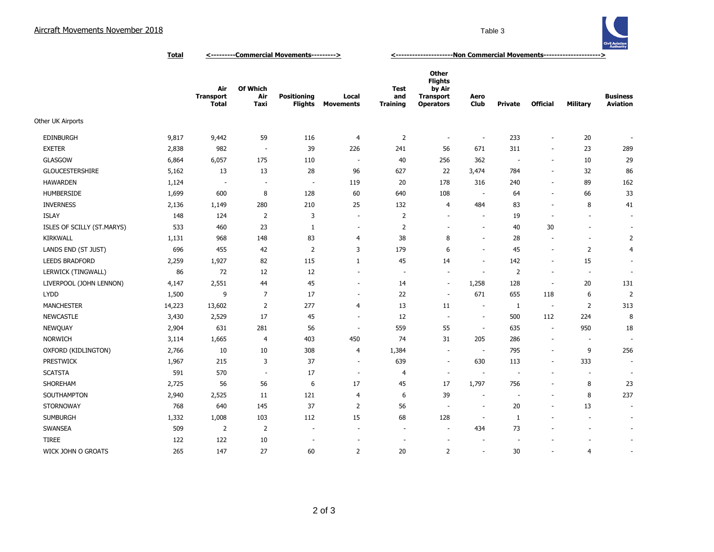

**Total <---------Commercial Movements---------> <---------------------Non Commercial Movements--------------------->**

|                            |        | Air<br><b>Transport</b><br><b>Total</b> | <b>Of Which</b><br>Air<br>Taxi | <b>Positioning</b><br><b>Flights</b> | Local<br><b>Movements</b> | <b>Test</b><br>and<br><b>Training</b> | <b>Other</b><br><b>Flights</b><br>by Air<br><b>Transport</b><br><b>Operators</b> | Aero<br>Club             | Private        | <b>Official</b>          | <b>Military</b>          | <b>Business</b><br><b>Aviation</b> |
|----------------------------|--------|-----------------------------------------|--------------------------------|--------------------------------------|---------------------------|---------------------------------------|----------------------------------------------------------------------------------|--------------------------|----------------|--------------------------|--------------------------|------------------------------------|
| Other UK Airports          |        |                                         |                                |                                      |                           |                                       |                                                                                  |                          |                |                          |                          |                                    |
| <b>EDINBURGH</b>           | 9,817  | 9,442                                   | 59                             | 116                                  | 4                         | $\overline{2}$                        | $\overline{\phantom{a}}$                                                         | $\overline{\phantom{a}}$ | 233            | $\overline{\phantom{a}}$ | 20                       | $\overline{\phantom{a}}$           |
| <b>EXETER</b>              | 2,838  | 982                                     | $\overline{\phantom{a}}$       | 39                                   | 226                       | 241                                   | 56                                                                               | 671                      | 311            | $\overline{\phantom{a}}$ | 23                       | 289                                |
| <b>GLASGOW</b>             | 6,864  | 6,057                                   | 175                            | 110                                  | $\sim$                    | 40                                    | 256                                                                              | 362                      |                | $\overline{\phantom{a}}$ | 10                       | 29                                 |
| <b>GLOUCESTERSHIRE</b>     | 5,162  | 13                                      | 13                             | 28                                   | 96                        | 627                                   | 22                                                                               | 3,474                    | 784            | $\sim$                   | 32                       | 86                                 |
| <b>HAWARDEN</b>            | 1,124  | $\overline{\phantom{a}}$                | $\overline{\phantom{a}}$       | $\overline{\phantom{a}}$             | 119                       | 20                                    | 178                                                                              | 316                      | 240            | $\sim$                   | 89                       | 162                                |
| HUMBERSIDE                 | 1,699  | 600                                     | 8                              | 128                                  | 60                        | 640                                   | 108                                                                              |                          | 64             | $\sim$                   | 66                       | 33                                 |
| <b>INVERNESS</b>           | 2,136  | 1,149                                   | 280                            | 210                                  | 25                        | 132                                   | $\overline{4}$                                                                   | 484                      | 83             | $\overline{\phantom{a}}$ | 8                        | 41                                 |
| <b>ISLAY</b>               | 148    | 124                                     | 2                              | 3                                    | $\overline{\phantom{a}}$  | $\overline{2}$                        | $\sim$                                                                           | $\overline{\phantom{a}}$ | 19             | $\overline{\phantom{a}}$ | $\overline{\phantom{a}}$ | $\overline{\phantom{a}}$           |
| ISLES OF SCILLY (ST.MARYS) | 533    | 460                                     | 23                             | 1                                    | $\overline{\phantom{a}}$  | $\overline{2}$                        |                                                                                  | $\overline{\phantom{a}}$ | 40             | 30                       | $\overline{a}$           | $\overline{\phantom{a}}$           |
| <b>KIRKWALL</b>            | 1,131  | 968                                     | 148                            | 83                                   | 4                         | 38                                    | 8                                                                                | ٠                        | 28             | $\overline{\phantom{a}}$ | $\sim$                   | $\overline{2}$                     |
| LANDS END (ST JUST)        | 696    | 455                                     | 42                             | $\overline{2}$                       | 3                         | 179                                   | 6                                                                                | ÷                        | 45             | $\sim$                   | $\overline{2}$           | $\overline{4}$                     |
| <b>LEEDS BRADFORD</b>      | 2,259  | 1,927                                   | 82                             | 115                                  | $\mathbf{1}$              | 45                                    | 14                                                                               | $\overline{\phantom{a}}$ | 142            | $\sim$                   | 15                       | $\overline{\phantom{a}}$           |
| LERWICK (TINGWALL)         | 86     | 72                                      | 12                             | 12                                   | $\sim$                    | $\overline{\phantom{a}}$              | $\sim$                                                                           | ÷,                       | $\overline{2}$ | $\overline{\phantom{a}}$ | $\blacksquare$           | $\overline{\phantom{a}}$           |
| LIVERPOOL (JOHN LENNON)    | 4,147  | 2,551                                   | 44                             | 45                                   | $\sim$                    | 14                                    | $\sim$                                                                           | 1,258                    | 128            | $\overline{\phantom{a}}$ | 20                       | 131                                |
| <b>LYDD</b>                | 1,500  | 9                                       | $\overline{7}$                 | 17                                   | $\overline{\phantom{a}}$  | 22                                    | $\sim$                                                                           | 671                      | 655            | 118                      | 6                        | $\overline{2}$                     |
| <b>MANCHESTER</b>          | 14,223 | 13,602                                  | 2                              | 277                                  | 4                         | 13                                    | 11                                                                               | $\overline{\phantom{a}}$ | $\mathbf{1}$   | $\overline{\phantom{a}}$ | 2                        | 313                                |
| <b>NEWCASTLE</b>           | 3,430  | 2,529                                   | 17                             | 45                                   | $\sim$                    | 12                                    | ÷.                                                                               | ÷,                       | 500            | 112                      | 224                      | 8                                  |
| NEWQUAY                    | 2,904  | 631                                     | 281                            | 56                                   | $\overline{\phantom{a}}$  | 559                                   | 55                                                                               | $\overline{\phantom{a}}$ | 635            | $\overline{\phantom{a}}$ | 950                      | 18                                 |
| <b>NORWICH</b>             | 3,114  | 1,665                                   | 4                              | 403                                  | 450                       | 74                                    | 31                                                                               | 205                      | 286            | $\overline{\phantom{a}}$ | $\sim$                   | $\overline{\phantom{a}}$           |
| OXFORD (KIDLINGTON)        | 2,766  | 10                                      | 10                             | 308                                  | 4                         | 1,384                                 | $\sim$                                                                           | $\overline{\phantom{a}}$ | 795            | $\overline{\phantom{a}}$ | 9                        | 256                                |
| <b>PRESTWICK</b>           | 1,967  | 215                                     | 3                              | 37                                   | $\sim$                    | 639                                   | $\sim$                                                                           | 630                      | 113            | $\overline{\phantom{a}}$ | 333                      | $\overline{\phantom{a}}$           |
| <b>SCATSTA</b>             | 591    | 570                                     | $\sim$                         | 17                                   | $\overline{\phantom{a}}$  | 4                                     | ÷.                                                                               | $\overline{\phantom{a}}$ | ÷.             | $\sim$                   | $\sim$                   | $\overline{\phantom{a}}$           |
| SHOREHAM                   | 2,725  | 56                                      | 56                             | 6                                    | 17                        | 45                                    | 17                                                                               | 1,797                    | 756            | $\overline{a}$           | 8                        | 23                                 |
| SOUTHAMPTON                | 2,940  | 2,525                                   | 11                             | 121                                  | 4                         | 6                                     | 39                                                                               | $\overline{\phantom{a}}$ |                | $\overline{\phantom{a}}$ | 8                        | 237                                |
| <b>STORNOWAY</b>           | 768    | 640                                     | 145                            | 37                                   | $\overline{2}$            | 56                                    | $\sim$                                                                           | $\overline{\phantom{a}}$ | 20             |                          | 13                       | $\overline{\phantom{a}}$           |
| <b>SUMBURGH</b>            | 1,332  | 1,008                                   | 103                            | 112                                  | 15                        | 68                                    | 128                                                                              | ÷,                       | 1              |                          | $\overline{a}$           | $\overline{\phantom{a}}$           |
| SWANSEA                    | 509    | 2                                       | 2                              | ÷.                                   | $\sim$                    | $\overline{\phantom{a}}$              | ÷.                                                                               | 434                      | 73             |                          | $\overline{\phantom{a}}$ | $\overline{\phantom{a}}$           |
| <b>TIREE</b>               | 122    | 122                                     | 10                             |                                      |                           |                                       |                                                                                  |                          |                |                          |                          | $\overline{\phantom{a}}$           |
| WICK JOHN O GROATS         | 265    | 147                                     | 27                             | 60                                   | $\overline{2}$            | 20                                    | $\overline{2}$                                                                   | ٠                        | 30             |                          | $\overline{4}$           | ٠                                  |